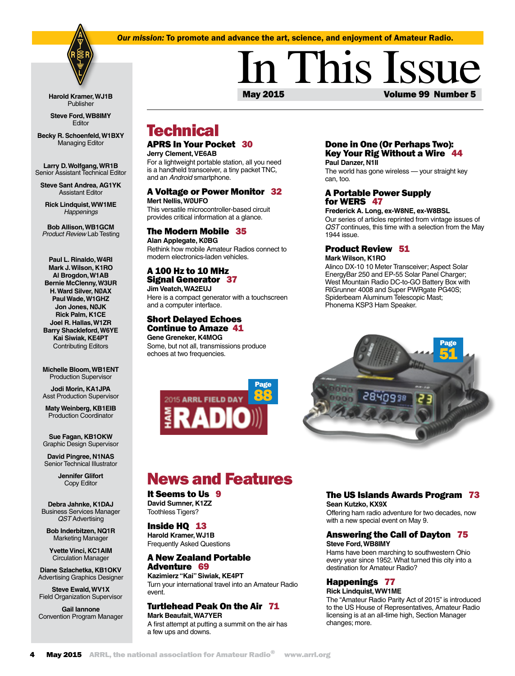### *Our mission:* To promote and advance the art, science, and enjoyment of Amateur Radio.



**Harold Kramer, WJ1B** Publisher

**Steve Ford, WB8IMY** Editor

**Becky R. Schoenfeld, W1BXY** Managing Editor

**Larry D. Wolfgang, WR1B**  Senior Assistant Technical Editor **Steve Sant Andrea, AG1YK**

Assistant Editor

**Rick Lindquist, WW1ME** *Happenings*

**Bob Allison, WB1GCM** *Product Review* Lab Testing

**Paul L. Rinaldo, W4RI Mark J. Wilson, K1RO Al Brogdon, W1AB Bernie McClenny, W3UR H. Ward Silver, NØAX Paul Wade, W1GHZ Jon Jones, NØJK Rick Palm, K1CE Joel R. Hallas, W1ZR Barry Shackleford, W6YE Kai Siwiak, KE4PT** Contributing Editors

**Michelle Bloom, WB1ENT** Production Supervisor

**Jodi Morin, KA1JPA** Asst Production Supervisor

**Maty Weinberg, KB1EIB** Production Coordinator

**Sue Fagan, KB1OKW** Graphic Design Supervisor

**David Pingree, N1NAS** Senior Technical Illustrator

> **Jennifer Glifort** Copy Editor

**Debra Jahnke, K1DAJ** Business Services Manager *QST* Advertising

**Bob Inderbitzen, NQ1R** Marketing Manager

**Yvette Vinci, KC1AIM** Circulation Manager

**Diane Szlachetka, KB1OKV** Advertising Graphics Designer

**Steve Ewald, WV1X** Field Organization Supervisor

**Gail Iannone** Convention Program Manager

# May 2015 Volume 99 Number 5 In This Issue

## **Technical**

### APRS In Your Pocket 30 **Jerry Clement, VE6AB** For a lightweight portable station, all you need

is a handheld transceiver, a tiny packet TNC, and an *Android* smartphone.

### A Voltage or Power Monitor 32

**Mert Nellis, WØUFO**  This versatile microcontroller-based circuit provides critical information at a glance.

### The Modern Mobile 35

**Alan Applegate, KØBG** Rethink how mobile Amateur Radios connect to modern electronics-laden vehicles.

### A 100 Hz to 10 MHz Signal Generator 37

**Jim Veatch, WA2EUJ** Here is a compact generator with a touchscreen and a computer interface*.*

### Short Delayed Echoes Continue to Amaze 41

**Gene Greneker, K4MOG** Some, but not all, transmissions produce echoes at two frequencies.



### Done in One (Or Perhaps Two): Key Your Rig Without a Wire 44 **Paul Danzer, N1II**

The world has gone wireless — your straight key can, too.

### A Portable Power Supply for WERS 47

**Frederick A. Long, ex-W8NE, ex-W8BSL** Our series of articles reprinted from vintage issues of *QST* continues, this time with a selection from the May 1944 issue.

### Product Review 51

**Mark Wilson, K1RO**

Alinco DX-10 10 Meter Transceiver; Aspect Solar EnergyBar 250 and EP-55 Solar Panel Charger; West Mountain Radio DC-to-GO Battery Box with RIGrunner 4008 and Super PWRgate PG40S; Spiderbeam Aluminum Telescopic Mast; Phonema KSP3 Ham Speaker.



## News and Features

#### It Seems to Us 9 **David Sumner, K1ZZ**

Toothless Tigers?

Inside HQ 13 **Harold Kramer, WJ1B** Frequently Asked Questions

## A New Zealand Portable

Adventure 69 **Kazimierz "Kai" Siwiak, KE4PT** Turn your international travel into an Amateur Radio event.

### Turtlehead Peak On the Air 71

**Mark Beaufait, WA7YER** A first attempt at putting a summit on the air has a few ups and downs.

### The US Islands Awards Program 73

**Sean Kutzko, KX9X** Offering ham radio adventure for two decades, now

with a new special event on May 9.

### Answering the Call of Dayton 75 **Steve Ford, WB8IMY**

Hams have been marching to southwestern Ohio every year since 1952. What turned this city into a destination for Amateur Radio?

### Happenings 77

**Rick Lindquist, WW1ME** The "Amateur Radio Parity Act of 2015" is introduced to the US House of Representatives, Amateur Radio licensing is at an all-time high, Section Manager changes; more.